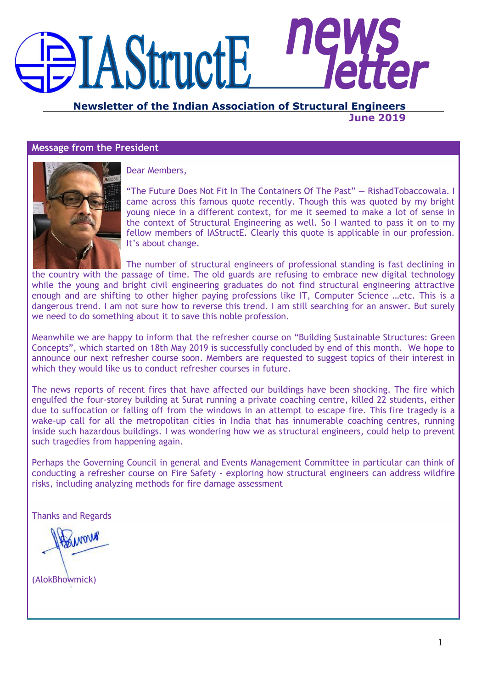# **AStructE**

**Newsletter of the Indian Association of Structural Engineers June 2019**

## **Message from the President**



Dear Members,

―The Future Does Not Fit In The Containers Of The Past‖ — RishadTobaccowala. I came across this famous quote recently. Though this was quoted by my bright young niece in a different context, for me it seemed to make a lot of sense in the context of Structural Engineering as well. So I wanted to pass it on to my fellow members of IAStructE. Clearly this quote is applicable in our profession. It's about change.

The number of structural engineers of professional standing is fast declining in the country with the passage of time. The old guards are refusing to embrace new digital technology while the young and bright civil engineering graduates do not find structural engineering attractive enough and are shifting to other higher paying professions like IT, Computer Science …etc. This is a dangerous trend. I am not sure how to reverse this trend. I am still searching for an answer. But surely we need to do something about it to save this noble profession.

Meanwhile we are happy to inform that the refresher course on "Building Sustainable Structures: Green Concepts", which started on 18th May 2019 is successfully concluded by end of this month. We hope to announce our next refresher course soon. Members are requested to suggest topics of their interest in which they would like us to conduct refresher courses in future.

The news reports of recent fires that have affected our buildings have been shocking. The fire which engulfed the four-storey building at Surat running a private coaching centre, killed 22 students, either due to suffocation or falling off from the windows in an attempt to escape fire. This fire tragedy is a wake-up call for all the metropolitan cities in India that has innumerable coaching centres, running inside such hazardous buildings. I was wondering how we as structural engineers, could help to prevent such tragedies from happening again.

Perhaps the Governing Council in general and Events Management Committee in particular can think of conducting a refresher course on Fire Safety - exploring how structural engineers can address wildfire risks, including analyzing methods for fire damage assessment

Thanks and Regards

(AlokBhowmick)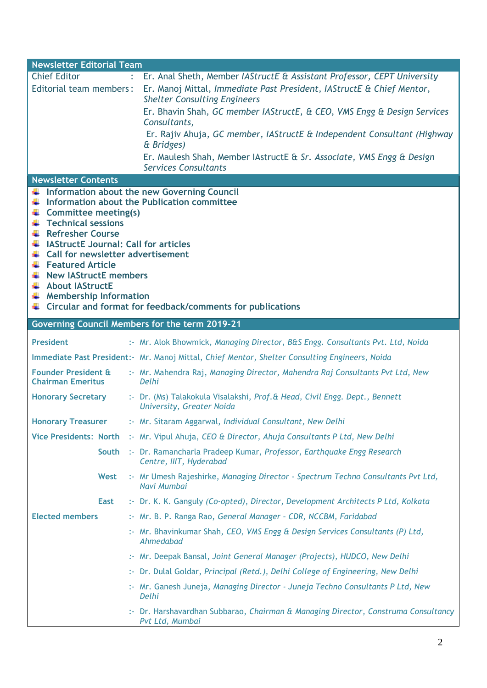| <b>Newsletter Editorial Team</b>                               |                                                                                                              |
|----------------------------------------------------------------|--------------------------------------------------------------------------------------------------------------|
| <b>Chief Editor</b>                                            | : Er. Anal Sheth, Member IAStructE & Assistant Professor, CEPT University                                    |
| Editorial team members:                                        | Er. Manoj Mittal, Immediate Past President, IAStructE & Chief Mentor,<br><b>Shelter Consulting Engineers</b> |
|                                                                | Er. Bhavin Shah, GC member IAStructE, & CEO, VMS Engg & Design Services<br>Consultants,                      |
|                                                                | Er. Rajiv Ahuja, GC member, IAStructE & Independent Consultant (Highway<br>& Bridges)                        |
|                                                                | Er. Maulesh Shah, Member lAstructE & Sr. Associate, VMS Engg & Design                                        |
|                                                                | <b>Services Consultants</b>                                                                                  |
| <b>Newsletter Contents</b>                                     |                                                                                                              |
|                                                                | Information about the new Governing Council                                                                  |
| ¥                                                              | Information about the Publication committee                                                                  |
| Committee meeting(s)<br>÷<br><b>Technical sessions</b><br>÷    |                                                                                                              |
| <b>Refresher Course</b><br>₩.,                                 |                                                                                                              |
| $\frac{1}{\sqrt{2}}$ IAStructE Journal: Call for articles      |                                                                                                              |
| $\downarrow$ Call for newsletter advertisement                 |                                                                                                              |
| Featured Article<br>$\frac{1}{\sqrt{2}}$ New IAStructE members |                                                                                                              |
| + About IAStructE                                              |                                                                                                              |
| $\frac{1}{\sqrt{2}}$ Membership Information                    |                                                                                                              |
|                                                                | $\ddagger$ Circular and format for feedback/comments for publications                                        |
|                                                                | Governing Council Members for the term 2019-21                                                               |
| <b>President</b>                                               | :- Mr. Alok Bhowmick, Managing Director, B&S Engg. Consultants Pvt. Ltd, Noida                               |
|                                                                | Immediate Past President: Mr. Manoj Mittal, Chief Mentor, Shelter Consulting Engineers, Noida                |
| <b>Founder President &amp;</b><br><b>Chairman Emeritus</b>     | :- Mr. Mahendra Raj, Managing Director, Mahendra Raj Consultants Pvt Ltd, New<br>Delhi                       |
| <b>Honorary Secretary</b>                                      | :- Dr. (Ms) Talakokula Visalakshi, Prof.& Head, Civil Engg. Dept., Bennett<br>University, Greater Noida      |
| <b>Honorary Treasurer</b>                                      | :- Mr. Sitaram Aggarwal, Individual Consultant, New Delhi                                                    |
|                                                                | Vice Presidents: North :- Mr. Vipul Ahuja, CEO & Director, Ahuja Consultants P Ltd, New Delhi                |
|                                                                | South :- Dr. Ramancharla Pradeep Kumar, Professor, Earthquake Engg Research<br>Centre, IIIT, Hyderabad       |
| West                                                           | :- Mr Umesh Rajeshirke, Managing Director - Spectrum Techno Consultants Pvt Ltd,<br>Navi Mumbai              |
| <b>East</b>                                                    | :- Dr. K. K. Ganguly (Co-opted), Director, Development Architects P Ltd, Kolkata                             |
| <b>Elected members</b>                                         | :- Mr. B. P. Ranga Rao, General Manager - CDR, NCCBM, Faridabad                                              |
|                                                                | :- Mr. Bhavinkumar Shah, CEO, VMS Engg & Design Services Consultants (P) Ltd,<br>Ahmedabad                   |
|                                                                | :- Mr. Deepak Bansal, Joint General Manager (Projects), HUDCO, New Delhi                                     |
|                                                                | :- Dr. Dulal Goldar, Principal (Retd.), Delhi College of Engineering, New Delhi                              |
|                                                                | :- Mr. Ganesh Juneja, Managing Director - Juneja Techno Consultants P Ltd, New<br>Delhi                      |
|                                                                | :- Dr. Harshavardhan Subbarao, Chairman & Managing Director, Construma Consultancy<br>Pvt Ltd, Mumbai        |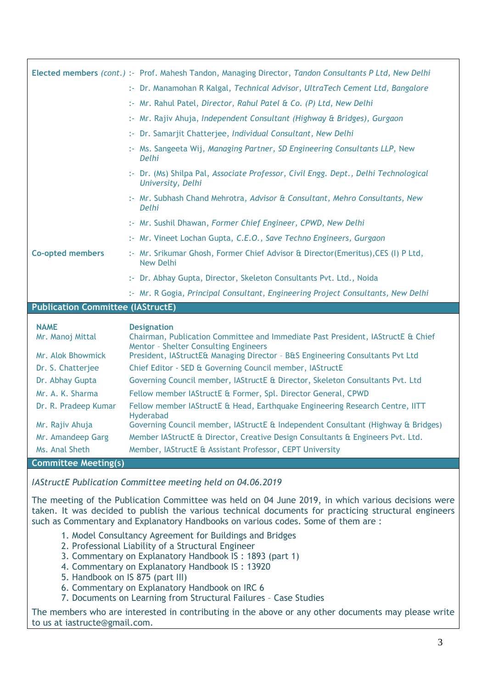|                                          | Elected members (cont.) :- Prof. Mahesh Tandon, Managing Director, Tandon Consultants P Ltd, New Delhi                                                                                                                                                                                          |
|------------------------------------------|-------------------------------------------------------------------------------------------------------------------------------------------------------------------------------------------------------------------------------------------------------------------------------------------------|
|                                          | :- Dr. Manamohan R Kalgal, Technical Advisor, UltraTech Cement Ltd, Bangalore                                                                                                                                                                                                                   |
|                                          | :- Mr. Rahul Patel, Director, Rahul Patel & Co. (P) Ltd, New Delhi                                                                                                                                                                                                                              |
|                                          | :- Mr. Rajiv Ahuja, Independent Consultant (Highway & Bridges), Gurgaon                                                                                                                                                                                                                         |
|                                          | :- Dr. Samarjit Chatterjee, Individual Consultant, New Delhi                                                                                                                                                                                                                                    |
|                                          | :- Ms. Sangeeta Wij, Managing Partner, SD Engineering Consultants LLP, New<br>Delhi                                                                                                                                                                                                             |
|                                          | :- Dr. (Ms) Shilpa Pal, Associate Professor, Civil Engg. Dept., Delhi Technological<br>University, Delhi                                                                                                                                                                                        |
|                                          | :- Mr. Subhash Chand Mehrotra, Advisor & Consultant, Mehro Consultants, New<br>Delhi                                                                                                                                                                                                            |
|                                          | :- Mr. Sushil Dhawan, Former Chief Engineer, CPWD, New Delhi                                                                                                                                                                                                                                    |
|                                          | :- Mr. Vineet Lochan Gupta, C.E.O., Save Techno Engineers, Gurgaon                                                                                                                                                                                                                              |
| <b>Co-opted members</b>                  | :- Mr. Srikumar Ghosh, Former Chief Advisor & Director(Emeritus), CES (I) P Ltd,<br>New Delhi                                                                                                                                                                                                   |
|                                          | :- Dr. Abhay Gupta, Director, Skeleton Consultants Pvt. Ltd., Noida                                                                                                                                                                                                                             |
|                                          | :- Mr. R Gogia, Principal Consultant, Engineering Project Consultants, New Delhi                                                                                                                                                                                                                |
| <b>Publication Committee (IAStructE)</b> |                                                                                                                                                                                                                                                                                                 |
|                                          |                                                                                                                                                                                                                                                                                                 |
|                                          |                                                                                                                                                                                                                                                                                                 |
| <b>NAME</b><br>Mr. Manoj Mittal          | <b>Designation</b><br>Chairman, Publication Committee and Immediate Past President, IAStructE & Chief<br><b>Mentor - Shelter Consulting Engineers</b>                                                                                                                                           |
| Mr. Alok Bhowmick                        | President, IAStructE& Managing Director - B&S Engineering Consultants Pvt Ltd                                                                                                                                                                                                                   |
| Dr. S. Chatterjee                        | Chief Editor - SED & Governing Council member, IAStructE                                                                                                                                                                                                                                        |
| Dr. Abhay Gupta                          | Governing Council member, IAStructE & Director, Skeleton Consultants Pvt. Ltd                                                                                                                                                                                                                   |
| Mr. A. K. Sharma                         | Fellow member IAStructE & Former, Spl. Director General, CPWD                                                                                                                                                                                                                                   |
| Dr. R. Pradeep Kumar                     | Fellow member IAStructE & Head, Earthquake Engineering Research Centre, IITT                                                                                                                                                                                                                    |
| Mr. Rajiv Ahuja                          | Hyderabad<br>Governing Council member, IAStructE & Independent Consultant (Highway & Bridges)                                                                                                                                                                                                   |
| Mr. Amandeep Garg                        | Member IAStructE & Director, Creative Design Consultants & Engineers Pvt. Ltd.                                                                                                                                                                                                                  |
| Ms. Anal Sheth                           | Member, IAStructE & Assistant Professor, CEPT University                                                                                                                                                                                                                                        |
| <b>Committee Meeting(s)</b>              |                                                                                                                                                                                                                                                                                                 |
|                                          | IAStructE Publication Committee meeting held on 04.06.2019                                                                                                                                                                                                                                      |
|                                          | The meeting of the Publication Committee was held on 04 June 2019, in which various decisions were<br>taken. It was decided to publish the various technical documents for practicing structural engineers<br>such as Commentary and Explanatory Handbooks on various codes. Some of them are : |

- 3. Commentary on Explanatory Handbook IS : 1893 (part 1)
- 4. Commentary on Explanatory Handbook IS: 13920
- 5. Handbook on IS 875 (part III)
- 6. Commentary on Explanatory Handbook on IRC 6
- 7. Documents on Learning from Structural Failures Case Studies

The members who are interested in contributing in the above or any other documents may please write to us at iastructe@gmail.com.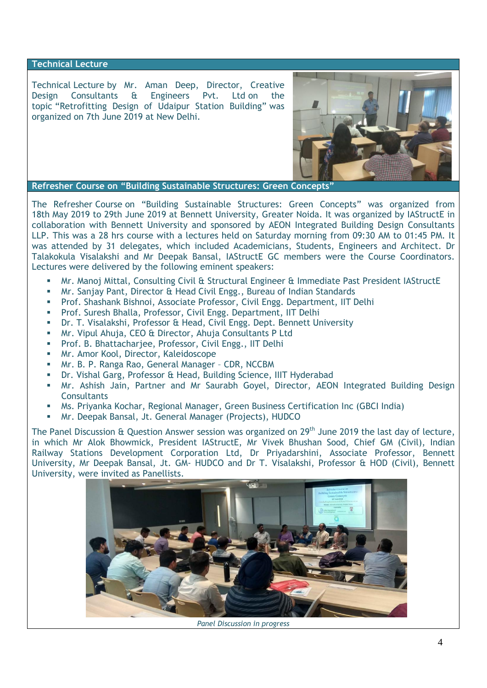### **Technical Lecture**

Technical Lecture by Mr. Aman Deep, Director, Creative Design Consultants & Engineers Pvt. Ltd on the topic "Retrofitting Design of Udaipur Station Building" was organized on 7th June 2019 at New Delhi.



**Refresher Course on "Building Sustainable Structures: Green Concepts"**

The Refresher Course on "Building Sustainable Structures: Green Concepts" was organized from 18th May 2019 to 29th June 2019 at Bennett University, Greater Noida. It was organized by IAStructE in collaboration with Bennett University and sponsored by AEON Integrated Building Design Consultants LLP. This was a 28 hrs course with a lectures held on Saturday morning from 09:30 AM to 01:45 PM. It was attended by 31 delegates, which included Academicians, Students, Engineers and Architect. Dr Talakokula Visalakshi and Mr Deepak Bansal, IAStructE GC members were the Course Coordinators. Lectures were delivered by the following eminent speakers:

- **Mr. Manoj Mittal, Consulting Civil & Structural Engineer & Immediate Past President IAStructE**
- Mr. Sanjay Pant, Director & Head Civil Engg., Bureau of Indian Standards
- Prof. Shashank Bishnoi, Associate Professor, Civil Engg. Department, IIT Delhi
- **Prof. Suresh Bhalla, Professor, Civil Engg. Department, IIT Delhi**
- Dr. T. Visalakshi, Professor & Head, Civil Engg. Dept. Bennett University
- Mr. Vipul Ahuja, CEO & Director, Ahuja Consultants P Ltd
- **Prof. B. Bhattacharjee, Professor, Civil Engg., IIT Delhi**
- **Mr. Amor Kool, Director, Kaleidoscope**
- Mr. B. P. Ranga Rao, General Manager CDR, NCCBM
- Dr. Vishal Garg, Professor & Head, Building Science, IIIT Hyderabad
- Mr. Ashish Jain, Partner and Mr Saurabh Goyel, Director, AEON Integrated Building Design **Consultants**
- Ms. Priyanka Kochar, Regional Manager, Green Business Certification Inc (GBCI India)
- Mr. Deepak Bansal, Jt. General Manager (Projects), HUDCO

The Panel Discussion  $\hat{\alpha}$  Question Answer session was organized on 29<sup>th</sup> June 2019 the last day of lecture, in which Mr Alok Bhowmick, President IAStructE, Mr Vivek Bhushan Sood, Chief GM (Civil), Indian Railway Stations Development Corporation Ltd, Dr Priyadarshini, Associate Professor, Bennett University, Mr Deepak Bansal, Jt. GM- HUDCO and Dr T. Visalakshi, Professor & HOD (Civil), Bennett University, were invited as Panellists.



*Panel Discussion in progress*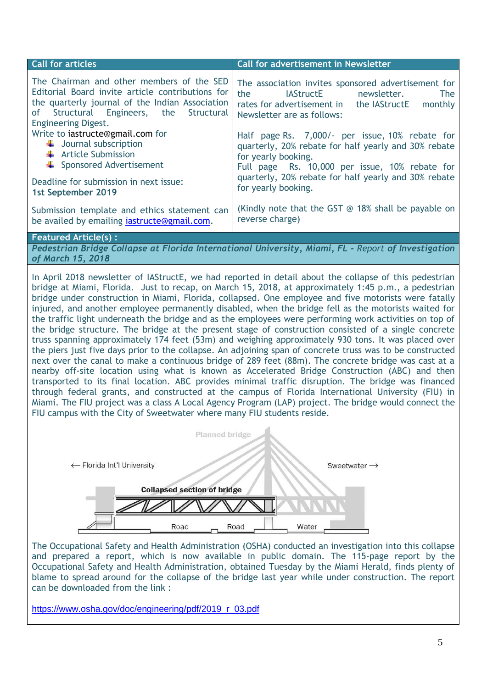| <b>Call for articles</b>                                                                                                                                                                                                                                                                                                                 | Call for advertisement in Newsletter                                                                                                                                                                                                                                                                                                                                                                                                                   |  |  |  |
|------------------------------------------------------------------------------------------------------------------------------------------------------------------------------------------------------------------------------------------------------------------------------------------------------------------------------------------|--------------------------------------------------------------------------------------------------------------------------------------------------------------------------------------------------------------------------------------------------------------------------------------------------------------------------------------------------------------------------------------------------------------------------------------------------------|--|--|--|
| The Chairman and other members of the SED<br>Editorial Board invite article contributions for<br>the quarterly journal of the Indian Association<br>of Structural Engineers, the<br>Structural<br><b>Engineering Digest.</b><br>Write to iastructe@gmail.com for<br>$\downarrow$ Journal subscription<br>$\leftarrow$ Article Submission | The association invites sponsored advertisement for<br>the<br>IAStructE newsletter.<br><b>The</b><br>rates for advertisement in the IAStructE monthly<br>Newsletter are as follows:<br>Half page Rs. 7,000/- per issue, 10% rebate for<br>quarterly, 20% rebate for half yearly and 30% rebate<br>for yearly booking.<br>Full page Rs. 10,000 per issue, 10% rebate for<br>quarterly, 20% rebate for half yearly and 30% rebate<br>for yearly booking. |  |  |  |
| ← Sponsored Advertisement<br>Deadline for submission in next issue:                                                                                                                                                                                                                                                                      |                                                                                                                                                                                                                                                                                                                                                                                                                                                        |  |  |  |
| 1st September 2019                                                                                                                                                                                                                                                                                                                       |                                                                                                                                                                                                                                                                                                                                                                                                                                                        |  |  |  |
| Submission template and ethics statement can<br>be availed by emailing <i>iastructe</i> @gmail.com.                                                                                                                                                                                                                                      | (Kindly note that the GST $\odot$ 18% shall be payable on<br>reverse charge)                                                                                                                                                                                                                                                                                                                                                                           |  |  |  |
| <b>Featured Article(s):</b>                                                                                                                                                                                                                                                                                                              |                                                                                                                                                                                                                                                                                                                                                                                                                                                        |  |  |  |
| Pedestrian Bridge Collapse at Florida International University, Miami, FL - Report of Investigation<br>of March 15, 2018                                                                                                                                                                                                                 |                                                                                                                                                                                                                                                                                                                                                                                                                                                        |  |  |  |
| In April 2018 newsletter of IAStructE, we had reported in detail about the collapse of this pedestrian<br>bridge at Miami, Florida. Just to recap, on March 15, 2018, at approximately 1:45 p.m., a pedestrian<br>t de la característica de la característica de la característica de la característica de la característica de l        |                                                                                                                                                                                                                                                                                                                                                                                                                                                        |  |  |  |

bridge under construction in Miami, Florida, collapsed. One employee and five motorists were fatally injured, and another employee permanently disabled, when the bridge fell as the motorists waited for the traffic light underneath the bridge and as the employees were performing work activities on top of the bridge structure. The bridge at the present stage of construction consisted of a single concrete truss spanning approximately 174 feet (53m) and weighing approximately 930 tons. It was placed over the piers just five days prior to the collapse. An adjoining span of concrete truss was to be constructed next over the canal to make a continuous bridge of 289 feet (88m). The concrete bridge was cast at a nearby off-site location using what is known as Accelerated Bridge Construction (ABC) and then transported to its final location. ABC provides minimal traffic disruption. The bridge was financed through federal grants, and constructed at the campus of Florida International University (FIU) in Miami. The FIU project was a class A Local Agency Program (LAP) project. The bridge would connect the FIU campus with the City of Sweetwater where many FIU students reside.



The Occupational Safety and Health Administration (OSHA) conducted an investigation into this collapse and prepared a report, which is now available in public domain. The 115-page report by the Occupational Safety and Health Administration, obtained Tuesday by the Miami Herald, finds plenty of blame to spread around for the collapse of the bridge last year while under construction. The report can be downloaded from the link :

[https://www.osha.gov/doc/engineering/pdf/2019\\_r\\_03.pdf](https://www.osha.gov/doc/engineering/pdf/2019_r_03.pdf)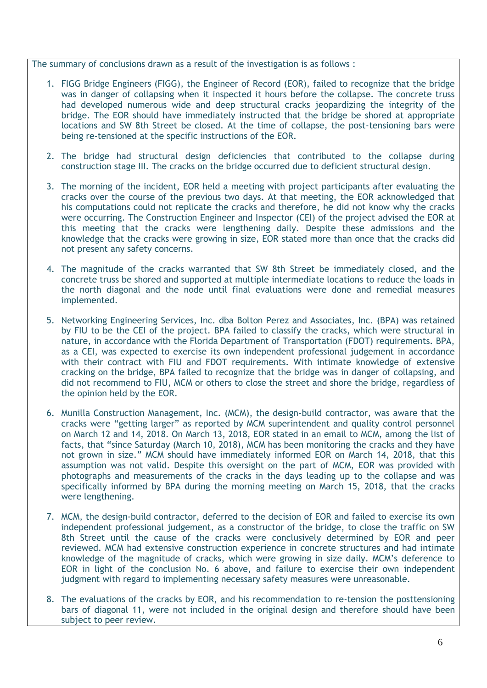The summary of conclusions drawn as a result of the investigation is as follows :

- 1. FIGG Bridge Engineers (FIGG), the Engineer of Record (EOR), failed to recognize that the bridge was in danger of collapsing when it inspected it hours before the collapse. The concrete truss had developed numerous wide and deep structural cracks jeopardizing the integrity of the bridge. The EOR should have immediately instructed that the bridge be shored at appropriate locations and SW 8th Street be closed. At the time of collapse, the post-tensioning bars were being re-tensioned at the specific instructions of the EOR.
- 2. The bridge had structural design deficiencies that contributed to the collapse during construction stage III. The cracks on the bridge occurred due to deficient structural design.
- 3. The morning of the incident, EOR held a meeting with project participants after evaluating the cracks over the course of the previous two days. At that meeting, the EOR acknowledged that his computations could not replicate the cracks and therefore, he did not know why the cracks were occurring. The Construction Engineer and Inspector (CEI) of the project advised the EOR at this meeting that the cracks were lengthening daily. Despite these admissions and the knowledge that the cracks were growing in size, EOR stated more than once that the cracks did not present any safety concerns.
- 4. The magnitude of the cracks warranted that SW 8th Street be immediately closed, and the concrete truss be shored and supported at multiple intermediate locations to reduce the loads in the north diagonal and the node until final evaluations were done and remedial measures implemented.
- 5. Networking Engineering Services, Inc. dba Bolton Perez and Associates, Inc. (BPA) was retained by FIU to be the CEI of the project. BPA failed to classify the cracks, which were structural in nature, in accordance with the Florida Department of Transportation (FDOT) requirements. BPA, as a CEI, was expected to exercise its own independent professional judgement in accordance with their contract with FIU and FDOT requirements. With intimate knowledge of extensive cracking on the bridge, BPA failed to recognize that the bridge was in danger of collapsing, and did not recommend to FIU, MCM or others to close the street and shore the bridge, regardless of the opinion held by the EOR.
- 6. Munilla Construction Management, Inc. (MCM), the design-build contractor, was aware that the cracks were "getting larger" as reported by MCM superintendent and quality control personnel on March 12 and 14, 2018. On March 13, 2018, EOR stated in an email to MCM, among the list of facts, that "since Saturday (March 10, 2018), MCM has been monitoring the cracks and they have not grown in size." MCM should have immediately informed EOR on March 14, 2018, that this assumption was not valid. Despite this oversight on the part of MCM, EOR was provided with photographs and measurements of the cracks in the days leading up to the collapse and was specifically informed by BPA during the morning meeting on March 15, 2018, that the cracks were lengthening.
- 7. MCM, the design-build contractor, deferred to the decision of EOR and failed to exercise its own independent professional judgement, as a constructor of the bridge, to close the traffic on SW 8th Street until the cause of the cracks were conclusively determined by EOR and peer reviewed. MCM had extensive construction experience in concrete structures and had intimate knowledge of the magnitude of cracks, which were growing in size daily. MCM's deference to EOR in light of the conclusion No. 6 above, and failure to exercise their own independent judgment with regard to implementing necessary safety measures were unreasonable.
- 8. The evaluations of the cracks by EOR, and his recommendation to re-tension the posttensioning bars of diagonal 11, were not included in the original design and therefore should have been subject to peer review.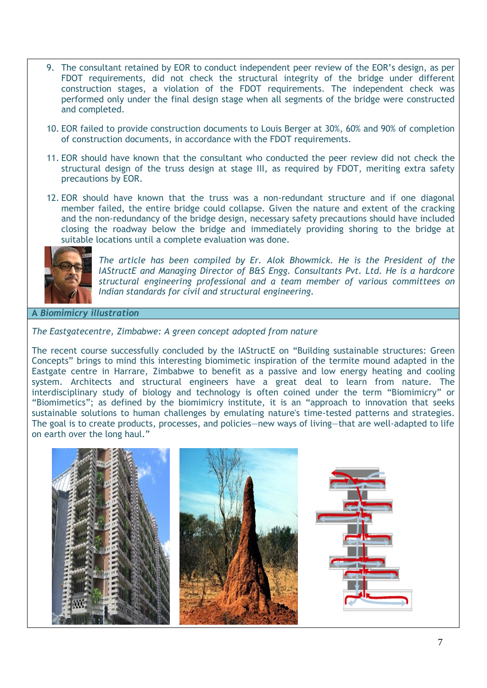- 9. The consultant retained by EOR to conduct independent peer review of the EOR's design, as per FDOT requirements, did not check the structural integrity of the bridge under different construction stages, a violation of the FDOT requirements. The independent check was performed only under the final design stage when all segments of the bridge were constructed and completed.
- 10. EOR failed to provide construction documents to Louis Berger at 30%, 60% and 90% of completion of construction documents, in accordance with the FDOT requirements.
- 11. EOR should have known that the consultant who conducted the peer review did not check the structural design of the truss design at stage III, as required by FDOT, meriting extra safety precautions by EOR.
- 12. EOR should have known that the truss was a non-redundant structure and if one diagonal member failed, the entire bridge could collapse. Given the nature and extent of the cracking and the non-redundancy of the bridge design, necessary safety precautions should have included closing the roadway below the bridge and immediately providing shoring to the bridge at suitable locations until a complete evaluation was done.



*The article has been compiled by Er. Alok Bhowmick. He is the President of the IAStructE and Managing Director of B&S Engg. Consultants Pvt. Ltd. He is a hardcore structural engineering professional and a team member of various committees on Indian standards for civil and structural engineering.*

**A** *Biomimicry illustration* 

# *The Eastgatecentre, Zimbabwe: A green concept adopted from nature*

The recent course successfully concluded by the IAStructE on "Building sustainable structures: Green Concepts" brings to mind this interesting biomimetic inspiration of the termite mound adapted in the Eastgate centre in Harrare, Zimbabwe to benefit as a passive and low energy heating and cooling system. Architects and structural engineers have a great deal to learn from nature. The interdisciplinary study of biology and technology is often coined under the term "Biomimicry" or "Biomimetics"; as defined by the biomimicry institute, it is an "approach to innovation that seeks sustainable solutions to human challenges by emulating nature's time-tested patterns and strategies. The goal is to create products, processes, and policies—new ways of living—that are well-adapted to life on earth over the long haul."

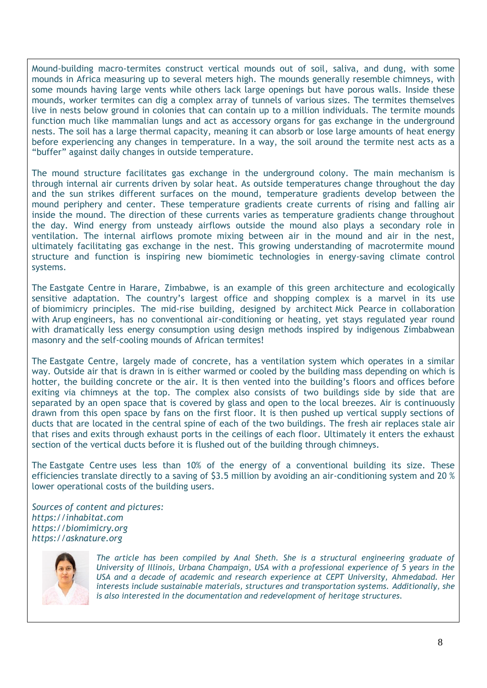Mound-building macro-termites construct vertical mounds out of soil, saliva, and dung, with some mounds in Africa measuring up to several meters high. The mounds generally resemble chimneys, with some mounds having large vents while others lack large openings but have porous walls. Inside these mounds, worker termites can dig a complex array of tunnels of various sizes. The termites themselves live in nests below ground in colonies that can contain up to a million individuals. The termite mounds function much like mammalian lungs and act as accessory organs for gas exchange in the underground nests. The soil has a large thermal capacity, meaning it can absorb or lose large amounts of heat energy before experiencing any changes in temperature. In a way, the soil around the termite nest acts as a "buffer" against daily changes in outside temperature.

The mound structure facilitates gas exchange in the underground colony. The main mechanism is through internal air currents driven by solar heat. As outside temperatures change throughout the day and the sun strikes different surfaces on the mound, temperature gradients develop between the mound periphery and center. These temperature gradients create currents of rising and falling air inside the mound. The direction of these currents varies as temperature gradients change throughout the day. Wind energy from unsteady airflows outside the mound also plays a secondary role in ventilation. The internal airflows promote mixing between air in the mound and air in the nest, ultimately facilitating gas exchange in the nest. This growing understanding of macrotermite mound structure and function is inspiring new biomimetic technologies in energy-saving climate control systems.

The [Eastgate Centre](http://en.wikipedia.org/wiki/Eastgate_Centre,_Harare) in Harare, Zimbabwe, is an example of this green architecture and ecologically sensitive adaptation. The country's largest office and shopping complex is a marvel in its use of [biomimicry principles.](http://biomimicryinstitute.org/) The mid-rise building, designed by architect [Mick Pearce](http://www.architectsforpeace.org/mickprofile.html) in collaboration with [Arup](http://www.arup.com/) engineers, has no conventional air-conditioning or heating, yet stays regulated year round with dramatically less energy consumption using design methods inspired by indigenous Zimbabwean masonry and the self-cooling mounds of African termites!

The [Eastgate Centre,](http://en.wikipedia.org/wiki/Eastgate_Centre,_Harare) largely made of concrete, has a ventilation system which operates in a similar way. Outside air that is drawn in is either warmed or cooled by the building mass depending on which is hotter, the building concrete or the air. It is then vented into the building's floors and offices before exiting via chimneys at the top. The complex also consists of two buildings side by side that are separated by an open space that is covered by glass and open to the local breezes. Air is continuously drawn from this open space by fans on the first floor. It is then pushed up vertical supply sections of ducts that are located in the central spine of each of the two buildings. The fresh air replaces stale air that rises and exits through exhaust ports in the ceilings of each floor. Ultimately it enters the exhaust section of the vertical ducts before it is flushed out of the building through chimneys.

The [Eastgate Centre](http://en.wikipedia.org/wiki/Eastgate_Centre,_Harare) uses less than 10% of the energy of a conventional building its size. These efficiencies translate directly to a saving of \$3.5 million by avoiding an air-conditioning system and 20 % lower operational costs of the building users.

*Sources of content and pictures: [https://inhabitat.com](https://inhabitat.com/) [https://biomimicry.org](https://biomimicry.org/) [https://asknature.org](https://asknature.org/)*



*The article has been compiled by Anal Sheth. She is a structural engineering graduate of University of Illinois, Urbana Champaign, USA with a professional experience of 5 years in the USA and a decade of academic and research experience at CEPT University, Ahmedabad. Her interests include sustainable materials, structures and transportation systems. Additionally, she is also interested in the documentation and redevelopment of heritage structures.*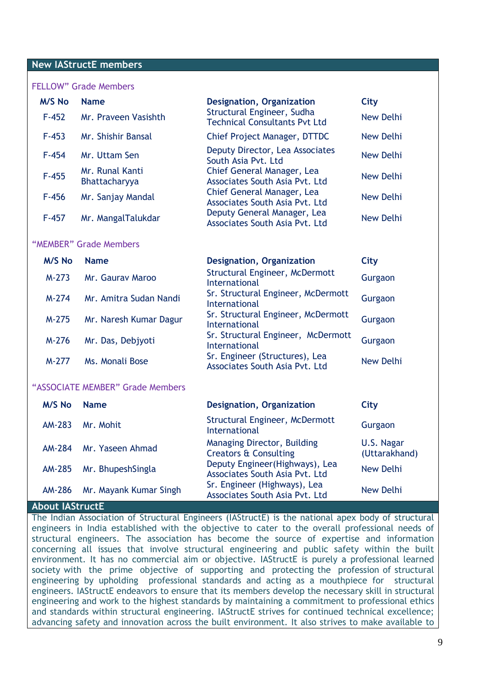### **New IAStructE members**

### FELLOW" Grade Members

| <b>M/S No</b>                    | <b>Name</b>                      | <b>Designation, Organization</b>                                                                                                                                     | City                        |  |  |  |
|----------------------------------|----------------------------------|----------------------------------------------------------------------------------------------------------------------------------------------------------------------|-----------------------------|--|--|--|
| $F-452$                          | Mr. Praveen Vasishth             | Structural Engineer, Sudha<br><b>Technical Consultants Pvt Ltd</b>                                                                                                   | <b>New Delhi</b>            |  |  |  |
| $F-453$                          | Mr. Shishir Bansal               | Chief Project Manager, DTTDC                                                                                                                                         | <b>New Delhi</b>            |  |  |  |
| $F-454$                          | Mr. Uttam Sen                    | Deputy Director, Lea Associates<br>South Asia Pvt. Ltd                                                                                                               | <b>New Delhi</b>            |  |  |  |
| $F-455$                          | Mr. Runal Kanti<br>Bhattacharyya | Chief General Manager, Lea<br>Associates South Asia Pvt. Ltd                                                                                                         | <b>New Delhi</b>            |  |  |  |
| $F-456$                          | Mr. Sanjay Mandal                | Chief General Manager, Lea<br>Associates South Asia Pvt. Ltd                                                                                                         | <b>New Delhi</b>            |  |  |  |
| $F-457$                          | Mr. MangalTalukdar               | Deputy General Manager, Lea<br>Associates South Asia Pvt. Ltd                                                                                                        | <b>New Delhi</b>            |  |  |  |
| "MEMBER" Grade Members           |                                  |                                                                                                                                                                      |                             |  |  |  |
| <b>M/S No</b>                    | <b>Name</b>                      | <b>Designation, Organization</b>                                                                                                                                     | City                        |  |  |  |
| $M-273$                          | Mr. Gauray Maroo                 | Structural Engineer, McDermott<br><b>International</b><br>Sr. Structural Engineer, McDermott<br>International<br>Sr. Structural Engineer, McDermott<br>International | Gurgaon                     |  |  |  |
| M-274                            | Mr. Amitra Sudan Nandi           |                                                                                                                                                                      | Gurgaon                     |  |  |  |
| $M-275$                          | Mr. Naresh Kumar Dagur           |                                                                                                                                                                      | Gurgaon                     |  |  |  |
| M-276                            | Mr. Das, Debjyoti                | Sr. Structural Engineer, McDermott<br><b>International</b>                                                                                                           | Gurgaon                     |  |  |  |
| M-277                            | Ms. Monali Bose                  | Sr. Engineer (Structures), Lea<br>Associates South Asia Pvt. Ltd                                                                                                     | <b>New Delhi</b>            |  |  |  |
| "ASSOCIATE MEMBER" Grade Members |                                  |                                                                                                                                                                      |                             |  |  |  |
| <b>M/S No</b>                    | <b>Name</b>                      | <b>Designation, Organization</b>                                                                                                                                     | City                        |  |  |  |
| <b>AM-283</b>                    | Mr. Mohit                        | Structural Engineer, McDermott<br><b>International</b>                                                                                                               | Gurgaon                     |  |  |  |
| <b>AM-284</b>                    | Mr. Yaseen Ahmad                 | Managing Director, Building<br><b>Creators &amp; Consulting</b>                                                                                                      | U.S. Nagar<br>(Uttarakhand) |  |  |  |
| <b>AM-285</b>                    | Mr. BhupeshSingla                | Deputy Engineer(Highways), Lea<br>Associates South Asia Pvt. Ltd                                                                                                     | <b>New Delhi</b>            |  |  |  |
| <b>AM-286</b>                    | Mr. Mayank Kumar Singh           | Sr. Engineer (Highways), Lea<br>Associates South Asia Pvt. Ltd                                                                                                       | <b>New Delhi</b>            |  |  |  |
| About IAStructF                  |                                  |                                                                                                                                                                      |                             |  |  |  |

The Indian Association of Structural Engineers (IAStructE) is the national apex body of structural engineers in India established with the objective to cater to the overall professional needs of structural engineers. The association has become the source of expertise and information concerning all issues that involve structural engineering and public safety within the built environment. It has no commercial aim or objective. IAStructE is purely a professional learned society with the prime objective of supporting and protecting the profession of structural engineering by upholding professional standards and acting as a mouthpiece for structural engineers. IAStructE endeavors to ensure that its members develop the necessary skill in structural engineering and work to the highest standards by maintaining a commitment to professional ethics and standards within structural engineering. IAStructE strives for continued technical excellence; advancing safety and innovation across the built environment. It also strives to make available to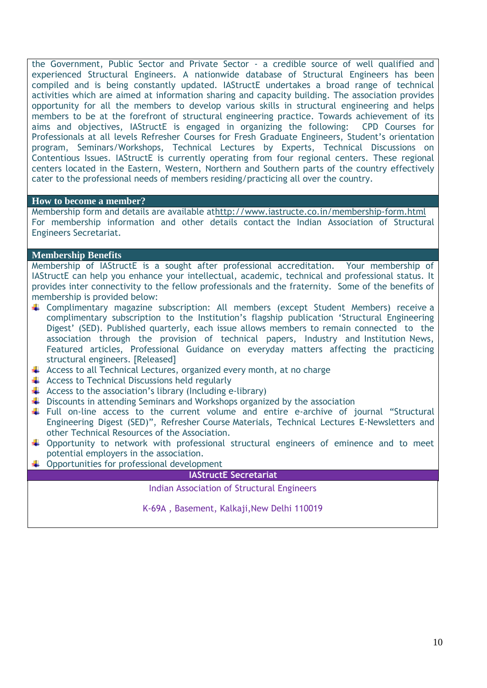the Government, Public Sector and Private Sector - a credible source of well qualified and experienced Structural Engineers. A nationwide database of Structural Engineers has been compiled and is being constantly updated. IAStructE undertakes a broad range of technical activities which are aimed at information sharing and capacity building. The association provides opportunity for all the members to develop various skills in structural engineering and helps members to be at the forefront of structural engineering practice. Towards achievement of its aims and objectives, IAStructE is engaged in organizing the following: CPD Courses for Professionals at all levels Refresher Courses for Fresh Graduate Engineers, Student's orientation program, Seminars/Workshops, Technical Lectures by Experts, Technical Discussions on Contentious Issues. IAStructE is currently operating from four regional centers. These regional centers located in the Eastern, Western, Northern and Southern parts of the country effectively cater to the professional needs of members residing/practicing all over the country.

### **How to become a member?**

Membership form and details are available a[thttp://www.iastructe.co.in/membership-form.html](http://www.iastructe.co.in/membership-form.html) For membership information and other details contact the Indian Association of Structural Engineers Secretariat.

### **Membership Benefits**

Membership of IAStructE is a sought after professional accreditation. Your membership of IAStructE can help you enhance your intellectual, academic, technical and professional status. It provides inter connectivity to the fellow professionals and the fraternity. Some of the benefits of membership is provided below:

- Complimentary magazine subscription: All members (except Student Members) receive a complimentary subscription to the Institution's flagship publication 'Structural Engineering Digest' (SED). Published quarterly, each issue allows members to remain connected to the association through the provision of technical papers, Industry and Institution News, Featured articles, Professional Guidance on everyday matters affecting the practicing structural engineers. [Released]
- $\overline{\text{+}}$  Access to all Technical Lectures, organized every month, at no charge
- $\triangleq$  Access to Technical Discussions held regularly
- $\uparrow$  Access to the association's library (Including e-library)
- $\ddot{\bullet}$  Discounts in attending Seminars and Workshops organized by the association
- Full on-line access to the current volume and entire e-archive of journal "Structural Engineering Digest (SED)", Refresher Course Materials, Technical Lectures E-Newsletters and other Technical Resources of the Association.
- $\downarrow$  Opportunity to network with professional structural engineers of eminence and to meet potential employers in the association.
- $\downarrow$  Opportunities for professional development

### **IAStructE Secretariat**

Indian Association of Structural Engineers

K-69A, Basement, Kalkaji, New Delhi 110019

Tel: (011) 45794829 ; Email:iastructe@gmail.com; Website[:www.iastructe.co.in](http://www.iastructe.co.in/)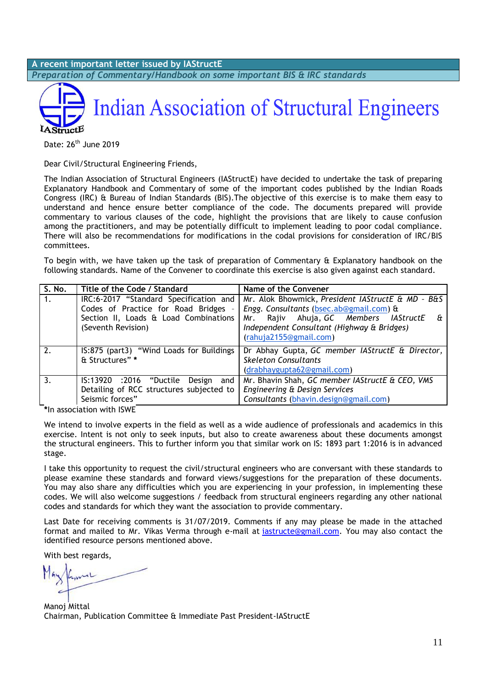**A recent important letter issued by IAStructE** *Preparation of Commentary/Handbook on some important BIS & IRC standards*



Date: 26<sup>th</sup> June 2019

Dear Civil/Structural Engineering Friends,

The Indian Association of Structural Engineers (IAStructE) have decided to undertake the task of preparing Explanatory Handbook and Commentary of some of the important codes published by the Indian Roads Congress (IRC) & Bureau of Indian Standards (BIS).The objective of this exercise is to make them easy to understand and hence ensure better compliance of the code. The documents prepared will provide commentary to various clauses of the code, highlight the provisions that are likely to cause confusion among the practitioners, and may be potentially difficult to implement leading to poor codal compliance. There will also be recommendations for modifications in the codal provisions for consideration of IRC/BIS committees.

To begin with, we have taken up the task of preparation of Commentary & Explanatory handbook on the following standards. Name of the Convener to coordinate this exercise is also given against each standard.

| S. No.     | Title of the Code / Standard                                                                                                                | Name of the Convener                                                                                                                                                                                                   |  |
|------------|---------------------------------------------------------------------------------------------------------------------------------------------|------------------------------------------------------------------------------------------------------------------------------------------------------------------------------------------------------------------------|--|
| $\vert$ 1. | IRC:6-2017 "Standard Specification and<br>Codes of Practice for Road Bridges<br>Section II, Loads & Load Combinations<br>(Seventh Revision) | Mr. Alok Bhowmick, President IAStructE & MD - B&S<br>Engg. Consultants (bsec.ab@gmail.com) &<br>Rajiv Ahuja, GC Members IAStructE<br>Mr.<br>ε÷<br>Independent Consultant (Highway & Bridges)<br>(rahuja2155@gmail.com) |  |
| 2.         | IS:875 (part3) "Wind Loads for Buildings<br>& Structures" *                                                                                 | Dr Abhay Gupta, GC member IAStructE & Director,<br><b>Skeleton Consultants</b><br>(drabhaygupta62@gmail.com)                                                                                                           |  |
| 3.         | IS:13920 :2016 "Ductile<br>Design and<br>Detailing of RCC structures subjected to<br>Seismic forces"                                        | Mr. Bhavin Shah, GC member IAStructE & CEO, VMS<br>Engineering & Design Services<br>Consultants (bhavin.design@gmail.com)                                                                                              |  |

**\***In association with ISWE

We intend to involve experts in the field as well as a wide audience of professionals and academics in this exercise. Intent is not only to seek inputs, but also to create awareness about these documents amongst the structural engineers. This to further inform you that similar work on IS: 1893 part 1:2016 is in advanced stage.

I take this opportunity to request the civil/structural engineers who are conversant with these standards to please examine these standards and forward views/suggestions for the preparation of these documents. You may also share any difficulties which you are experiencing in your profession, in implementing these codes. We will also welcome suggestions / feedback from structural engineers regarding any other national codes and standards for which they want the association to provide commentary.

Last Date for receiving comments is 31/07/2019. Comments if any may please be made in the attached format and mailed to Mr. Vikas Verma through e-mail at [iastructe@gmail.com.](mailto:iastructe@gmail.com) You may also contact the identified resource persons mentioned above.

With best regards,

Manoj Mittal Chairman, Publication Committee & Immediate Past President-IAStructE